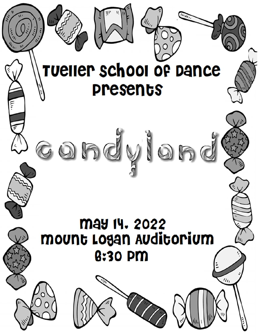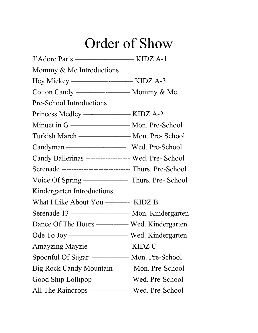# Order of Show

| Mommy $\&$ Me Introductions                             |  |
|---------------------------------------------------------|--|
|                                                         |  |
|                                                         |  |
| <b>Pre-School Introductions</b>                         |  |
| Princess Medley ———————— KIDZ A-2                       |  |
|                                                         |  |
| Turkish March — Mon. Pre- School                        |  |
|                                                         |  |
| Candy Ballerinas ----------------- Wed. Pre- School     |  |
| Serenade ---------------------------- Thurs. Pre-School |  |
|                                                         |  |
| Kindergarten Introductions                              |  |
|                                                         |  |
| Serenade 13 — Mon. Kindergarten                         |  |
|                                                         |  |
|                                                         |  |
| Amayzing Mayzie — KIDZ C                                |  |
| Spoonful Of Sugar - Mon. Pre-School                     |  |
|                                                         |  |
| Good Ship Lollipop — Wed. Pre-School                    |  |
|                                                         |  |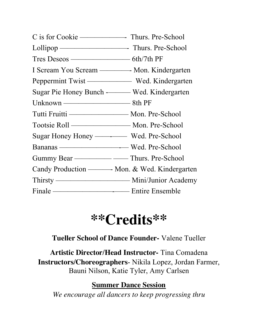| Tres Deseos ———————————————————— 6th/7th PF |  |
|---------------------------------------------|--|
|                                             |  |
|                                             |  |
| Sugar Pie Honey Bunch - Wed. Kindergarten   |  |
| Unknown ———————————————————— 8th PF         |  |
| Tutti Fruitti —————————— Mon. Pre-School    |  |
| Tootsie Roll —————————————— Mon. Pre-School |  |
|                                             |  |
| Bananas — Wed. Pre-School                   |  |
|                                             |  |
|                                             |  |
|                                             |  |
|                                             |  |

## **\*\*Credits\*\***

### **Tueller School of Dance Founder-** Valene Tueller

**Artistic Director/Head Instructor-** Tina Comadena **Instructors/Choreographers**- Nikila Lopez, Jordan Farmer, Bauni Nilson, Katie Tyler, Amy Carlsen

#### **Summer Dance Session**

*We encourage all dancers to keep progressing thru*